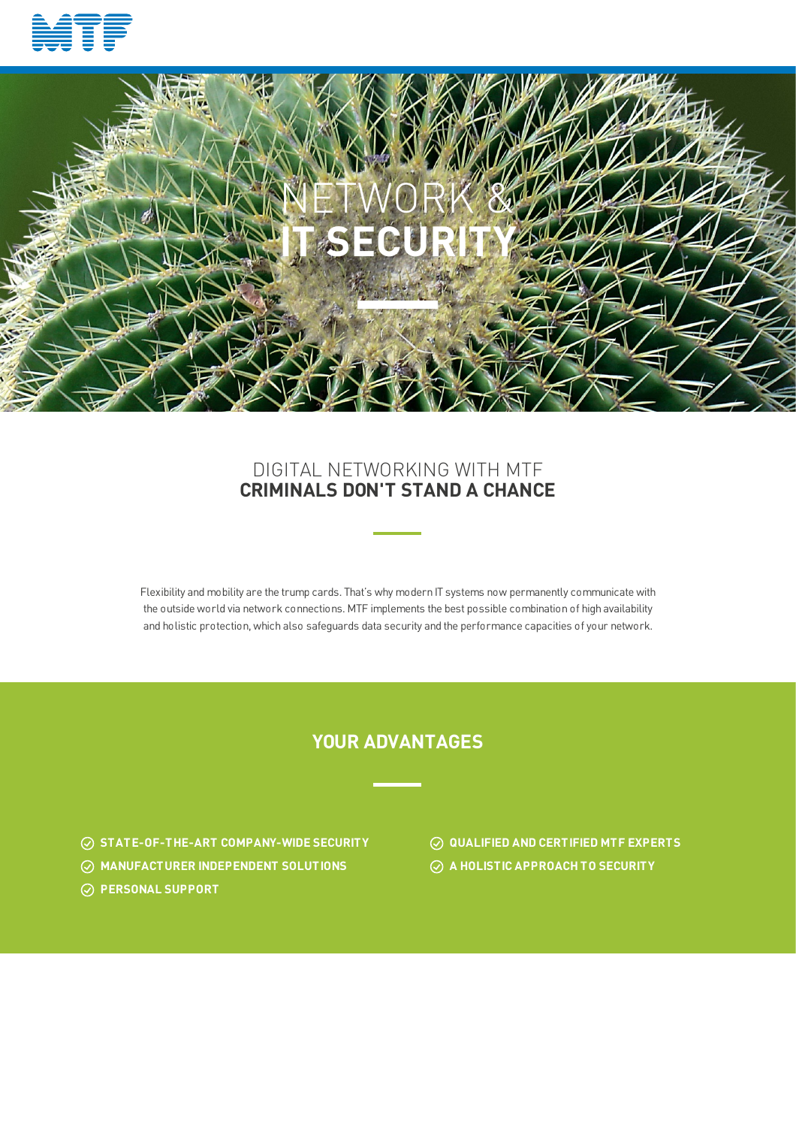



## DIGITAL NETWORKING WITH MTF **CRIMINALS DON'T STAND A CHANCE**

Flexibility and mobility are the trump cards. That's why modern IT systems now permanently communicate with the outside world via network connections. MTF implements the best possible combination of high availability and holistic protection, which also safeguards data security and the performance capacities of your network.

### **YOUR ADVANTAGES**

- **STATE-OF-THE-ART COMPANY-WIDE SECURITY QUALIFIED AND CERTIFIED MTF EXPERTS**
- **MANUFACTURER INDEPENDENT SOLUTIONS A HOLISTIC APPROACH TO SECURITY**
- **PERSONAL SUPPORT**
- 
-